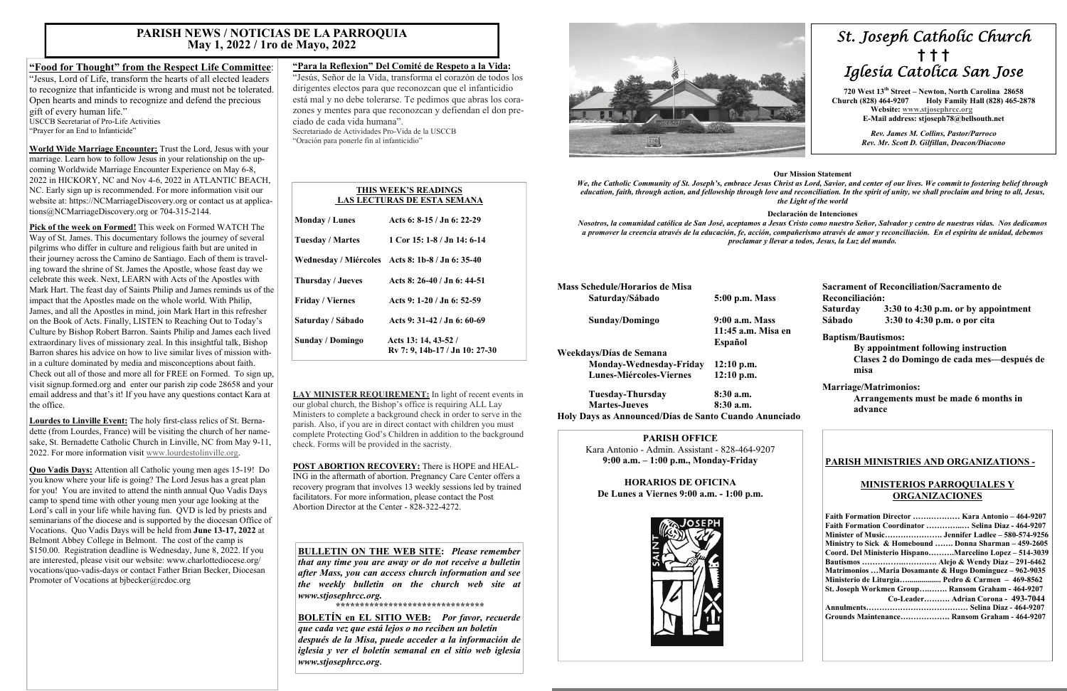# *St. Joseph Catholic Church*  **†****† †**  *Iglesia Catolica San Jose*

**720 West 13th Street – Newton, North Carolina 28658 Church (828) 464-9207 Holy Family Hall (828) 465-2878 Website: [www.stjosephrcc.org](http://www.stjoseph4cc.org/) E-Mail address: stjoseph78@bellsouth.net** 

> *Rev. James M. Collins, Pastor/Parroco Rev. Mr. Scott D. Gilfillan, Deacon/Diacono*

## **Our Mission Statement**

*We, the Catholic Community of St. Joseph's, embrace Jesus Christ as Lord, Savior, and center of our lives. We commit to fostering belief through education, faith, through action, and fellowship through love and reconciliation. In the spirit of unity, we shall proclaim and bring to all, Jesus, the Light of the world* 

### **Declaración de Intenciones**

*Nosotros, la comunidad católica de San José, aceptamos a Jesus Cristo como nuestro Señor, Salvador y centro de nuestras vidas. Nos dedicamos a promover la creencia através de la educación, fe, acción, compañerismo através de amor y reconciliación. En el espíritu de unidad, debemos proclamar y llevar a todos, Jesus, la Luz del mundo.* 

| 5:00 p.m. Mass     |
|--------------------|
| 9:00 a.m. Mass     |
| 11:45 a.m. Misa en |
| Español            |
|                    |
| $12:10$ p.m.       |
| $12:10$ p.m.       |
| $8:30$ a.m.        |
| $8:30$ a.m.        |
|                    |

**Holy Days as Announced/Días de Santo Cuando Anunciado** 

**Sacrament of Reconciliation/Sacramento de Reconciliación: Saturday 3:30 to 4:30 p.m. or by appointment Sábado 3:30 to 4:30 p.m. o por cita** 

### **Baptism/Bautismos:**

 **By appointment following instruction Clases 2 do Domingo de cada mes—después de misa** 

## **Marriage/Matrimonios:**

 **Arrangements must be made 6 months in advance** 

## **PARISH OFFICE**

Kara Antonio - Admin. Assistant - 828-464-9207 **9:00 a.m. – 1:00 p.m., Monday-Friday** 

**HORARIOS DE OFICINA De Lunes a Viernes 9:00 a.m. - 1:00 p.m.** 



## **PARISH MINISTRIES AND ORGANIZATIONS -**

## **MINISTERIOS PARROQUIALES Y ORGANIZACIONES**

| Faith Formation Director  Kara Antonio - 464-9207       |
|---------------------------------------------------------|
| Faith Formation Coordinator  Selina Diaz - 464-9207     |
|                                                         |
| Ministry to Sick & Homebound  Donna Sharman – 459-2605  |
| Coord. Del Ministerio HispanoMarcelino Lopez – 514-3039 |
|                                                         |
| Matrimonios Maria Dosamante & Hugo Dominguez – 962-9035 |
| Ministerio de Liturgia Pedro & Carmen $-469-8562$       |
| St. Joseph Workmen Group Ransom Graham - 464-9207       |
| Co-Leader Adrian Corona - 493-7044                      |
|                                                         |
| Grounds Maintenance Ransom Graham - 464-9207            |

**Quo Vadis Days:** Attention all Catholic young men ages 15-19! Do you know where your life is going? The Lord Jesus has a great plan for you! You are invited to attend the ninth annual Quo Vadis Days camp to spend time with other young men your age looking at the Lord's call in your life while having fun. QVD is led by priests and seminarians of the diocese and is supported by the diocesan Office of Vocations. Quo Vadis Days will be held from **June 13-17, 2022** at Belmont Abbey College in Belmont. The cost of the camp is \$150.00. Registration deadline is Wednesday, June 8, 2022. If you are interested, please visit our website: www.charlottediocese.org/ vocations/quo-vadis-days or contact Father Brian Becker, Diocesan Promoter of Vocations at bjbecker@rcdoc.org

## **"Food for Thought" from the Respect Life Committee**:

"Jesus, Lord of Life, transform the hearts of all elected leaders to recognize that infanticide is wrong and must not be tolerated. Open hearts and minds to recognize and defend the precious gift of every human life."

USCCB Secretariat of Pro-Life Activities "Prayer for an End to Infanticide"

**World Wide Marriage Encounter:** Trust the Lord, Jesus with your marriage. Learn how to follow Jesus in your relationship on the upcoming Worldwide Marriage Encounter Experience on May 6-8, 2022 in HICKORY, NC and Nov 4-6, 2022 in ATLANTIC BEACH, NC. Early sign up is recommended. For more information visit our website at: https://NCMarriageDiscovery.org or contact us at applications@NCMarriageDiscovery.org or 704-315-2144.

**Pick of the week on Formed!** This week on Formed WATCH The Way of St. James. This documentary follows the journey of several pilgrims who differ in culture and religious faith but are united in their journey across the Camino de Santiago. Each of them is traveling toward the shrine of St. James the Apostle, whose feast day we celebrate this week. Next, LEARN with Acts of the Apostles with Mark Hart. The feast day of Saints Philip and James reminds us of the impact that the Apostles made on the whole world. With Philip, James, and all the Apostles in mind, join Mark Hart in this refresher on the Book of Acts. Finally, LISTEN to Reaching Out to Today's Culture by Bishop Robert Barron. Saints Philip and James each lived extraordinary lives of missionary zeal. In this insightful talk, Bishop Barron shares his advice on how to live similar lives of mission within a culture dominated by media and misconceptions about faith. Check out all of those and more all for FREE on Formed. To sign up, visit signup.formed.org and enter our parish zip code 28658 and your email address and that's it! If you have any questions contact Kara at the office.

**Lourdes to Linville Event:** The holy first-class relics of St. Bernadette (from Lourdes, France) will be visiting the church of her namesake, St. Bernadette Catholic Church in Linville, NC from May 9-11, 2022. For more information visit www.lourdestolinville.org.

## **"Para la Reflexion" Del Comité de Respeto a la Vida:**

"Jesús, Señor de la Vida, transforma el corazón de todos los dirigentes electos para que reconozcan que el infanticidio está mal y no debe tolerarse. Te pedimos que abras los corazones y mentes para que reconozcan y defiendan el don preciado de cada vida humana".Secretariado de Actividades Pro-Vida de la USCCB "Oración para ponerle fin al infanticidio"

**LAY MINISTER REQUIREMENT:** In light of recent events in our global church, the Bishop's office is requiring ALL Lay Ministers to complete a background check in order to serve in the parish. Also, if you are in direct contact with children you must complete Protecting God's Children in addition to the background check. Forms will be provided in the sacristy.

**POST ABORTION RECOVERY:** There is HOPE and HEAL-ING in the aftermath of abortion. Pregnancy Care Center offers a recovery program that involves 13 weekly sessions led by trained facilitators. For more information, please contact the Post Abortion Director at the Center - 828-322-4272.

## **PARISH NEWS / NOTICIAS DE LA PARROQUIA May 1, 2022 / 1ro de Mayo, 2022**

|                         | THIS WEEK'S READINGS<br>LAS LECTURAS DE ESTA SEMANA    |
|-------------------------|--------------------------------------------------------|
| <b>Monday / Lunes</b>   | Acts 6: $8-15/$ Jn 6: 22-29                            |
| <b>Tuesday / Martes</b> | 1 Cor 15: 1-8 / Jn 14: 6-14                            |
|                         | Wednesday / Miércoles Acts 8: 1b-8 / Jn 6: 35-40       |
| Thursday / Jueves       | Acts 8: 26-40 / Jn 6: 44-51                            |
| <b>Friday / Viernes</b> | Acts 9: 1-20 / Jn 6: 52-59                             |
| Saturday / Sábado       | Acts 9: $31-42$ / Jn 6: 60-69                          |
| <b>Sunday / Domingo</b> | Acts 13: 14, 43-52 /<br>Ry 7: 9, 14b-17 / Jn 10: 27-30 |

**BULLETIN ON THE WEB SITE:** *Please remember that any time you are away or do not receive a bulletin after Mass, you can access church information and see the weekly bulletin on the church web site at www.stjosephrcc.org.* 

*\*\*\*\*\*\*\*\*\*\*\*\*\*\*\*\*\*\*\*\*\*\*\*\*\*\*\*\*\*\*\** 

**BOLETÍN en EL SITIO WEB:** *Por favor, recuerde que cada vez que está lejos o no reciben un boletín después de la Misa, puede acceder a la información de iglesia y ver el boletín semanal en el sitio web iglesia www.stjosephrcc.org***.**